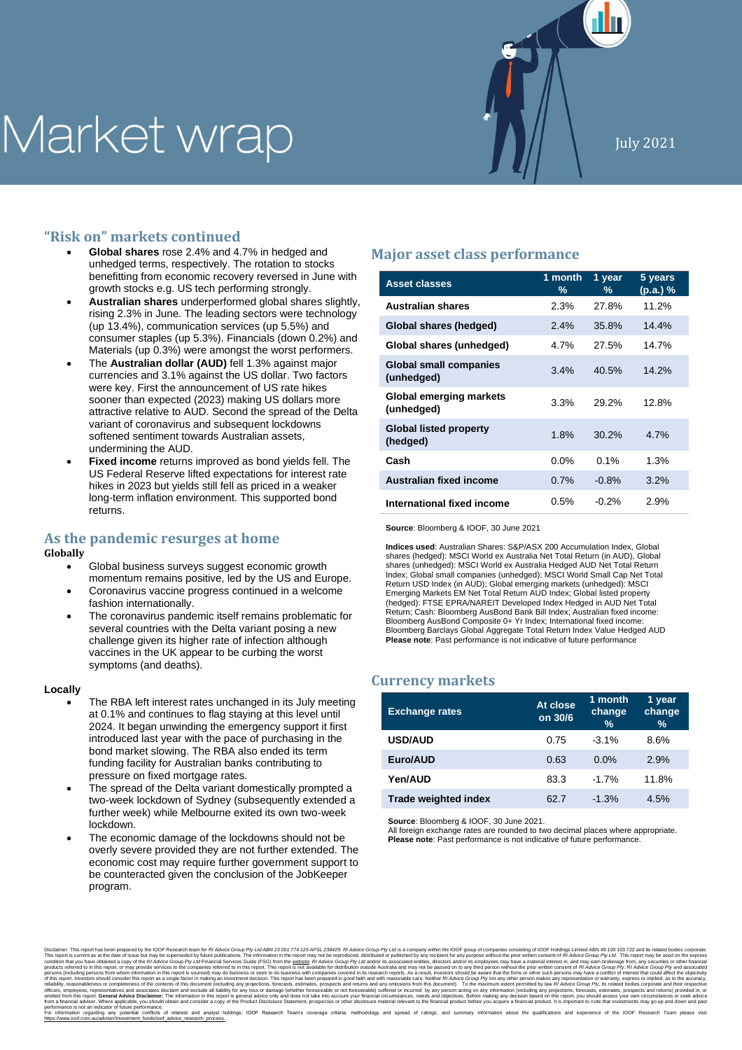# Market wrap

## **"Risk on" markets continued**

- **Global shares** rose 2.4% and 4.7% in hedged and unhedged terms, respectively. The rotation to stocks benefitting from economic recovery reversed in June with growth stocks e.g. US tech performing strongly.
- **Australian shares** underperformed global shares slightly, rising 2.3% in June. The leading sectors were technology (up 13.4%), communication services (up 5.5%) and consumer staples (up 5.3%). Financials (down 0.2%) and Materials (up 0.3%) were amongst the worst performers.
- The **Australian dollar (AUD)** fell 1.3% against major currencies and 3.1% against the US dollar. Two factors were key. First the announcement of US rate hikes sooner than expected (2023) making US dollars more attractive relative to AUD. Second the spread of the Delta variant of coronavirus and subsequent lockdowns softened sentiment towards Australian assets, undermining the AUD.
- **Fixed income** returns improved as bond yields fell. The US Federal Reserve lifted expectations for interest rate hikes in 2023 but yields still fell as priced in a weaker long-term inflation environment. This supported bond returns.

## **As the pandemic resurges at home**

### **Globally**

- Global business surveys suggest economic growth momentum remains positive, led by the US and Europe.
- Coronavirus vaccine progress continued in a welcome fashion internationally.
- The coronavirus pandemic itself remains problematic for several countries with the Delta variant posing a new challenge given its higher rate of infection although vaccines in the UK appear to be curbing the worst symptoms (and deaths).

#### **Locally**

- The RBA left interest rates unchanged in its July meeting at 0.1% and continues to flag staying at this level until 2024. It began unwinding the emergency support it first introduced last year with the pace of purchasing in the bond market slowing. The RBA also ended its term funding facility for Australian banks contributing to pressure on fixed mortgage rates.
- The spread of the Delta variant domestically prompted a two-week lockdown of Sydney (subsequently extended a further week) while Melbourne exited its own two-week lockdown.
- The economic damage of the lockdowns should not be overly severe provided they are not further extended. The economic cost may require further government support to be counteracted given the conclusion of the JobKeeper program.

## **Major asset class performance**

| <b>Asset classes</b>                        | 1 month<br>% | 1 year<br>% | 5 years<br>(p.a.)% |
|---------------------------------------------|--------------|-------------|--------------------|
| <b>Australian shares</b>                    | 2.3%         | 27.8%       | 11.2%              |
| Global shares (hedged)                      | 2.4%         | 35.8%       | 14.4%              |
| Global shares (unhedged)                    | 4.7%         | 27.5%       | 14.7%              |
| <b>Global small companies</b><br>(unhedged) | 3.4%         | 40.5%       | 14.2%              |
| Global emerging markets<br>(unhedged)       | 3.3%         | 29.2%       | 12.8%              |
| <b>Global listed property</b><br>(hedged)   | 1.8%         | 30.2%       | 4.7%               |
| Cash                                        | $0.0\%$      | 0.1%        | 1.3%               |
| Australian fixed income                     | 0.7%         | $-0.8%$     | 3.2%               |
| International fixed income                  | 0.5%         | $-0.2%$     | 2.9%               |

**Source**: Bloomberg & IOOF, 30 June 2021

**Indices used**: Australian Shares: S&P/ASX 200 Accumulation Index, Global shares (hedged): MSCI World ex Australia Net Total Return (in AUD), Global shares (unhedged): MSCI World ex Australia Hedged AUD Net Total Return Index; Global small companies (unhedged): MSCI World Small Cap Net Total Return USD Index (in AUD); Global emerging markets (unhedged): MSCI Emerging Markets EM Net Total Return AUD Index; Global listed property (hedged): FTSE EPRA/NAREIT Developed Index Hedged in AUD Net Total Return; Cash: Bloomberg AusBond Bank Bill Index; Australian fixed income: Bloomberg AusBond Composite 0+ Yr Index; International fixed income: Bloomberg Barclays Global Aggregate Total Return Index Value Hedged AUD **Please note**: Past performance is not indicative of future performance

## **Currency markets**

| <b>Exchange rates</b>       | At close<br>on 30/6 | $1$ month<br>change<br>$\frac{9}{6}$ | 1 year<br>change<br>$\frac{9}{6}$ |
|-----------------------------|---------------------|--------------------------------------|-----------------------------------|
| <b>USD/AUD</b>              | 0.75                | $-3.1\%$                             | 8.6%                              |
| Euro/AUD                    | 0.63                | $0.0\%$                              | 2.9%                              |
| Yen/AUD                     | 83.3                | $-1.7%$                              | 11.8%                             |
| <b>Trade weighted index</b> | 62.7                | $-1.3%$                              | 4.5%                              |

**Source**: Bloomberg & IOOF, 30 June 2021.

All foreign exchange rates are rounded to two decimal places where appropriate. **Please note**: Past performance is not indicative of future performance.

Disclimer. This report has been prepared by the IOR Research team for *R Advise* Group Py L*ud, BP is a percembent* of the interest and the objects and its report interest and the report of the experimentation in the form reliablity, reasonableness or completeness of the contents of this document (including any projections, forecasts, estimates, prospects and returns and any omissions from this document). To the maximum extent permitted by from a financial adviser. Where applicable, you should obtain and consider a copy of the Product Disclosure Statement, prospectus or other disclosure material relevant to the financial product before you acquire a financia performance is not an indicator of tuture performance.<br>For information any potential conflics of interest and analyst holdings; IOOF Research Team's coverage criteria, methodology and spread of ratings; and summary informa